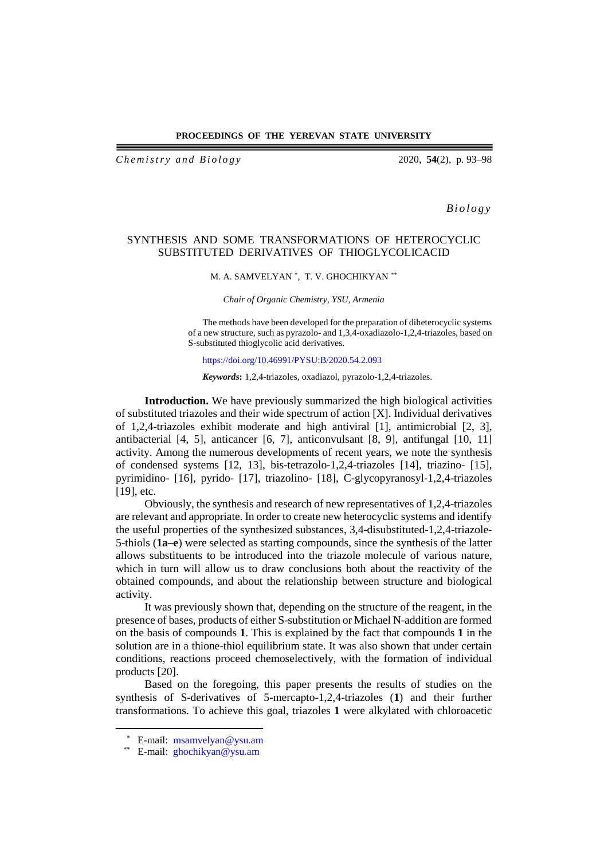### **PROCEEDINGS OF THE YEREVAN STATE UNIVERSITY**

*Ch e m istry and Biology* 2020, **54**(2), p. 93–98

*Biology*

## SYNTHESIS AND SOME TRANSFORMATIONS OF HETEROCYCLIC SUBSTITUTED DERIVATIVES OF THIOGLYCOLICACID

#### M. A. SAMVELYAN [\\*,](#page-0-0) T. V. GHOCHIKYAN [\\*\\*](#page-0-1)

*Chair of Organic Chemistry, YSU, Armenia*

The methods have been developed for the preparation of diheterocyclic systems of a new structure, such as pyrazolo- and 1,3,4-oxadiazolo-1,2,4-triazoles, based on S-substituted thioglycolic acid derivatives.

<https://doi.org/10.46991/PYSU:B/2020.54.2.093>

*Keywords***:** 1,2,4-triazoles, oxadiazol, pyrazolo-1,2,4-triazoles.

**Introduction.** We have previously summarized the high biological activities of substituted triazoles and their wide spectrum of action [X]. Individual derivatives of 1,2,4-triazoles exhibit moderate and high antiviral [1], antimicrobial [2, 3], antibacterial [4, 5], anticancer [6, 7], anticonvulsant [8, 9], antifungal [10, 11] activity. Among the numerous developments of recent years, we note the synthesis of condensed systems [12, 13], bis-tetrazolo-1,2,4-triazoles [14], triazino- [15], pyrimidino- [16], pyrido- [17], triazolino- [18], C-glycopyranosyl-1,2,4-triazoles [19], etc.

Obviously, the synthesis and research of new representatives of 1,2,4-triazoles are relevant and appropriate. In order to create new heterocyclic systems and identify the useful properties of the synthesized substances, 3,4-disubstituted-1,2,4-triazole-5-thiols (**1a–e**) were selected as starting compounds, since the synthesis of the latter allows substituents to be introduced into the triazole molecule of various nature, which in turn will allow us to draw conclusions both about the reactivity of the obtained compounds, and about the relationship between structure and biological activity.

It was previously shown that, depending on the structure of the reagent, in the presence of bases, products of either S-substitution or Michael N-addition are formed on the basis of compounds **1**. This is explained by the fact that compounds **1** in the solution are in a thione-thiol equilibrium state. It was also shown that under certain conditions, reactions proceed chemoselectively, with the formation of individual products [20].

Based on the foregoing, this paper presents the results of studies on the synthesis of S-derivatives of 5-mercapto-1,2,4-triazoles (**1**) and their further transformations. To achieve this goal, triazoles **1** were alkylated with chloroacetic

<span id="page-0-0"></span> <sup>\*</sup> E-mail: [msamvelyan@ysu.am](mailto:msamvelyan@ysu.am)

<span id="page-0-1"></span><sup>\*\*</sup> E-mail: [ghochikyan@ysu.am](mailto:ghochikyan@ysu.am)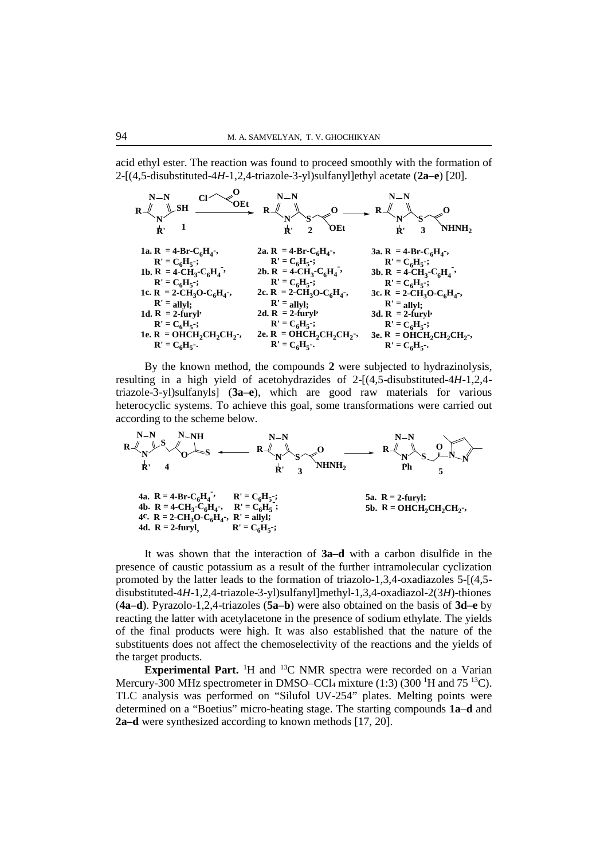acid ethyl ester. The reaction was found to proceed smoothly with the formation of 2-[(4,5-disubstituted-4*H*-1,2,4-triazole-3-yl)sulfanyl]ethyl acetate (**2a–e**) [20].



By the known method, the compounds **2** were subjected to hydrazinolysis, resulting in a high yield of acetohydrazides of 2-[(4,5-disubstituted-4*H*-1,2,4 triazole-3-yl)sulfanyls] (**3a–e**), which are good raw materials for various heterocyclic systems. To achieve this goal, some transformations were carried out according to the scheme below.



It was shown that the interaction of **3a–d** with a carbon disulfide in the presence of caustic potassium as a result of the further intramolecular cyclization promoted by the latter leads to the formation of triazolo-1,3,4-oxadiazoles 5-[(4,5 disubstituted-4*H*-1,2,4-triazole-3-yl)sulfanyl]methyl-1,3,4-oxadiazol-2(3*H*)-thiones (**4a–d**). Pyrazolo-1,2,4-triazoles (**5a–b**) were also obtained on the basis of **3d–e** by reacting the latter with acetylacetone in the presence of sodium ethylate. The yields of the final products were high. It was also established that the nature of the substituents does not affect the chemoselectivity of the reactions and the yields of the target products.

**Experimental Part.** <sup>1</sup>H and <sup>13</sup>C NMR spectra were recorded on a Varian Mercury-300 MHz spectrometer in DMSO–CCl<sub>4</sub> mixture  $(1:3)$  (300 <sup>1</sup>H and 75 <sup>13</sup>C). TLC analysis was performed on "Silufol UV-254" plates. Melting points were determined on a "Boetius" micro-heating stage. The starting compounds **1a**–**d** and **2a–d** were synthesized according to known methods [17, 20].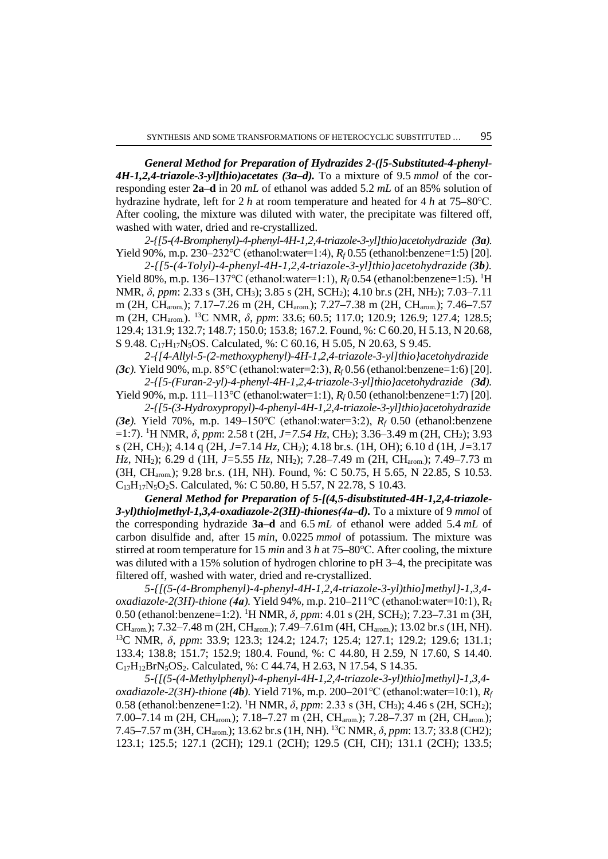*General Method for Preparation of Hydrazides 2-([5-Substituted-4-phenyl-4H-1,2,4-triazole-3-yl]thio)acetates (3a–d).* To a mixture of 9.5 *mmol* of the corresponding ester **2a**–**d** in 20 *mL* of ethanol was added 5.2 *mL* of an 85% solution of hydrazine hydrate, left for 2 *h* at room temperature and heated for 4 *h* at 75–80℃. After cooling, the mixture was diluted with water, the precipitate was filtered off, washed with water, dried and re-crystallized.

*2-{[5-(4-Bromphenyl)-4-phenyl-4H-1,2,4-triazole-3-yl]thio}acetohydrazide (3a).* Yield 90%, m.p. 230–232℃ (ethanol:water=1:4), *Rf* 0.55 (ethanol:benzene=1:5) [20].

*2-{[5-(4-Tolyl)-4-phenyl-4H-1,2,4-triazole-3-yl]thio}acetohydrazide (3b).* Yield 80%, m.p. 136–137℃ (ethanol:water=1:1), *Rf* 0.54 (ethanol:benzene=1:5). 1 H NMR, *δ*, *ppm*: 2.33 s (3H, CH3); 3.85 s (2H, SCH2); 4.10 br.s (2H, NH2); 7.03–7.11 m (2H, CHarom.); 7.17–7.26 m (2H, CHarom.); 7.27–7.38 m (2H, CHarom.); 7.46–7.57 m (2H, CHarom.). 13C NMR, *δ*, *ppm*: 33.6; 60.5; 117.0; 120.9; 126.9; 127.4; 128.5; 129.4; 131.9; 132.7; 148.7; 150.0; 153.8; 167.2. Found, %: C 60.20, H 5.13, N 20.68, S 9.48. C<sub>17</sub>H<sub>17</sub>N<sub>5</sub>OS. Calculated, %: C 60.16, H 5.05, N 20.63, S 9.45.

*2-{[4-Allyl-5-(2-methoxyphenyl)-4H-1,2,4-triazole-3-yl]thio}acetohydrazide (3c).* Yield 90%, m.p. 85℃ (ethanol:water=2:3), *Rf* 0.56 (ethanol:benzene=1:6) [20].

*2-{[5-(Furan-2-yl)-4-phenyl-4H-1,2,4-triazole-3-yl]thio}acetohydrazide (3d).* Yield 90%, m.p. 111–113℃ (ethanol:water=1:1), *Rf* 0.50 (ethanol:benzene=1:7) [20].

*2-{[5-(3-Hydroxypropyl)-4-phenyl-4H-1,2,4-triazole-3-yl]thio}acetohydrazide (3e).* Yield 70%, m.p. 149–150℃ (ethanol:water=3:2), *Rf* 0.50 (ethanol:benzene =1:7). 1 H NMR, *δ*, *ppm*: 2.58 t (2H, *J=7.54 Hz*, CH2); 3.36–3.49 m (2H, CH2); 3.93 s (2H, CH2); 4.14 q (2H, *J=*7.14 *Hz*, CH2); 4.18 br.s. (1H, OH); 6.10 d (1H, *J=*3.17 *Hz*, NH2); 6.29 d (1H, *J=*5.55 *Hz*, NH2); 7.28–7.49 m (2H, CHarom.); 7.49–7.73 m (3H, CHarom.); 9.28 br.s. (1H, NH). Found, %: C 50.75, H 5.65, N 22.85, S 10.53. C13H17N5O2S. Calculated, %: C 50.80, H 5.57, N 22.78, S 10.43.

*General Method for Preparation of 5-[(4,5-disubstituted-4H-1,2,4-triazole-3-yl)thio]methyl-1,3,4-oxadiazole-2(3H)-thiones(4а–d).* To a mixture of 9 *mmol* of the corresponding hydrazide **3a–d** and 6.5 *mL* of ethanol were added 5.4 *mL* of carbon disulfide and, after 15 *min*, 0.0225 *mmol* of potassium. The mixture was stirred at room temperature for 15 *min* and 3 *h* at 75–80℃. After cooling, the mixture was diluted with a 15% solution of hydrogen chlorine to pH 3–4, the precipitate was filtered off, washed with water, dried and re-crystallized.

*5-{[(5-(4-Bromphenyl)-4-phenyl-4H-1,2,4-triazole-3-yl)thio]methyl}-1,3,4 oxadiazole-2(3H)-thione* (4*a*). Yield 94%, m.p. 210–211℃ (ethanol:water=10:1), R<sub>f</sub> 0.50 (ethanol:benzene=1:2). 1 H NMR, *δ*, *ppm*: 4.01 s (2H, SCH2); 7.23–7.31 m (3H,  $CH_{arom.}$ ); 7.32–7.48 m (2H, CH<sub>arom.</sub>); 7.49–7.61m (4H, CH<sub>arom.</sub>); 13.02 br.s (1H, NH). 13C NMR, *δ*, *ppm*: 33.9; 123.3; 124.2; 124.7; 125.4; 127.1; 129.2; 129.6; 131.1; 133.4; 138.8; 151.7; 152.9; 180.4. Found, %: C 44.80, H 2.59, N 17.60, S 14.40.  $C_{17}H_{12}BrN_5OS_2$ . Calculated, %: C 44.74, H 2.63, N 17.54, S 14.35.

*5-{[(5-(4-Methylphenyl)-4-phenyl-4H-1,2,4-triazole-3-yl)thio]methyl}-1,3,4 oxadiazole-2(3H)-thione (4b).* Yield 71%, m.p. 200–201℃ (ethanol:water=10:1), *Rf* 0.58 (ethanol:benzene=1:2). 1 H NMR, *δ*, *ppm*: 2.33 s (3H, СН3); 4.46 s (2H, SCH2); 7.00–7.14 m (2H, CHarom.); 7.18–7.27 m (2Н, CHarom.); 7.28–7.37 m (2H, CHarom.); 7.45–7.57 m (3H, CHarom.); 13.62 br.s (1H, NH). 13C NMR, *δ*, *ppm*: 13.7; 33.8 (CH2); 123.1; 125.5; 127.1 (2CH); 129.1 (2CH); 129.5 (CH, CH); 131.1 (2CH); 133.5;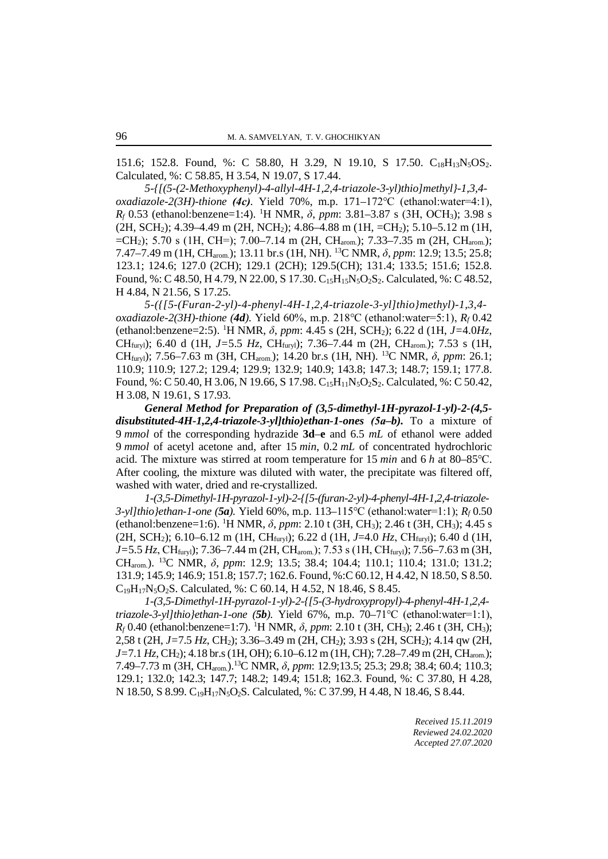151.6; 152.8. Found, %: C 58.80, H 3.29, N 19.10, S 17.50. C<sub>18</sub>H<sub>13</sub>N<sub>5</sub>OS<sub>2</sub>. Calculated, %: C 58.85, H 3.54, N 19.07, S 17.44.

*5-{[(5-(2-Methoxyphenyl)-4-allyl-4H-1,2,4-triazole-3-yl)thio]methyl}-1,3,4 oxadiazole-2(3H)-thione (4с).* Yield 70%, m.p. 171–172℃ (ethanol:water=4:1), *Rf* 0.53 (ethanol:benzene=1:4). 1 H NMR, *δ*, *ppm*: 3.81–3.87 s (3H, ОСН3); 3.98 s (2H, SCH2); 4.39–4.49 m (2H, NCH2); 4.86–4.88 m (1H, =CH2); 5.10–5.12 m (1H,  $=CH_2$ ); 5.70 s (1H, CH=); 7.00–7.14 m (2H, CH<sub>arom</sub>); 7.33–7.35 m (2H, CH<sub>arom</sub>); 7.47–7.49 m (1H, CHarom.); 13.11 br.s (1H, NH). 13C NMR, *δ*, *ppm*: 12.9; 13.5; 25.8; 123.1; 124.6; 127.0 (2CH); 129.1 (2CH); 129.5(CH); 131.4; 133.5; 151.6; 152.8. Found, %: C 48.50, H 4.79, N 22.00, S 17.30. C<sub>15</sub>H<sub>15</sub>N<sub>5</sub>O<sub>2</sub>S<sub>2</sub>. Calculated, %: C 48.52, H 4.84, N 21.56, S 17.25.

*5-({[5-(Furan-2-yl)-4-phenyl-4H-1,2,4-triazole-3-yl]thio}methyl)-1,3,4 oxadiazole-2(3H)-thione (4d).* Yield 60%, m.p. 218℃ (ethanol:water=5:1), *Rf* 0.42 (ethanol:benzene=2:5). 1 H NMR, *δ*, *ppm*: 4.45 s (2H, SCH2); 6.22 d (1H, *J=*4.0*Hz*, CHfuryl); 6.40 d (1H, *J=*5.5 *Hz*, CHfuryl); 7.36–7.44 m (2H, CHarom.); 7.53 s (1H, CHfuryl); 7.56–7.63 m (3H, CHarom.); 14.20 br.s (1H, NH). 13C NMR, *δ*, *ppm*: 26.1; 110.9; 110.9; 127.2; 129.4; 129.9; 132.9; 140.9; 143.8; 147.3; 148.7; 159.1; 177.8. Found, %: C 50.40, H 3.06, N 19.66, S 17.98. C<sub>15</sub>H<sub>11</sub>N<sub>5</sub>O<sub>2</sub>S<sub>2</sub>. Calculated, %: C 50.42, H 3.08, N 19.61, S 17.93.

*General Method for Preparation of (3,5-dimethyl-1H-pyrazol-1-yl)-2-(4,5 disubstituted-4H-1,2,4-triazole-3-yl]thio)ethan-1-ones (5а–b).* To a mixture of 9 *mmol* of the corresponding hydrazide **3d**–**e** and 6.5 *mL* of ethanol were added 9 *mmol* of acetyl acetone and, after 15 *min*, 0.2 *mL* of concentrated hydrochloric acid. The mixture was stirred at room temperature for 15 *min* and 6 *h* at 80–85℃. After cooling, the mixture was diluted with water, the precipitate was filtered off, washed with water, dried and re-crystallized.

*1-(3,5-Dimethyl-1H-pyrazol-1-yl)-2-{[5-(furan-2-yl)-4-phenyl-4H-1,2,4-triazole-3-yl]thio}ethan-1-one (5a).* Yield 60%, m.p. 113–115℃ (ethanol:water=1:1); *Rf* 0.50 (ethanol:benzene=1:6). 1 H NMR, *δ*, *ppm*: 2.10 t (3H, CH3); 2.46 t (3H, CH3); 4.45 s (2H, SCH<sub>2</sub>); 6.10–6.12 m (1H, CH<sub>furyl</sub>); 6.22 d (1H, *J*=4.0 *Hz*, CH<sub>furyl</sub>); 6.40 d (1H, *J*=5.5 *Hz*, CH<sub>furyl</sub>); 7.36–7.44 m (2H, CH<sub>arom.</sub>); 7.53 s (1H, CH<sub>furyl</sub>); 7.56–7.63 m (3H, CHarom.). 13C NMR, *δ*, *ppm*: 12.9; 13.5; 38.4; 104.4; 110.1; 110.4; 131.0; 131.2; 131.9; 145.9; 146.9; 151.8; 157.7; 162.6. Found, %:C 60.12, H 4.42, N 18.50, S 8.50.  $C_{19}H_{17}N_5O_2S$ . Calculated, %: C 60.14, H 4.52, N 18.46, S 8.45.

*1-(3,5-Dimethyl-1H-pyrazol-1-yl)-2-{[5-(3-hydroxypropyl)-4-phenyl-4H-1,2,4 triazole-3-yl]thio}ethan-1-one (5b).* Yield 67%, m.p. 70–71℃ (ethanol:water=1:1), *R<sub>f</sub>* 0.40 (ethanol:benzene=1:7). <sup>1</sup>H NMR, δ, *ppm*: 2.10 t (3H, CH<sub>3</sub>); 2.46 t (3H, CH<sub>3</sub>); 2,58 t (2H, *J=*7.5 *Hz*, CH2); 3.36–3.49 m (2H, CH2); 3.93 s (2H, SCH2); 4.14 qw (2H, *J*=7.1 *Hz*, CH<sub>2</sub>); 4.18 br.s (1H, OH); 6.10–6.12 m (1H, CH); 7.28–7.49 m (2H, CH<sub>arom.</sub>); 7.49–7.73 m (3H, CHarom.).13C NMR, *δ*, *ppm*: 12.9;13.5; 25.3; 29.8; 38.4; 60.4; 110.3; 129.1; 132.0; 142.3; 147.7; 148.2; 149.4; 151.8; 162.3. Found, %: C 37.80, H 4.28, N 18.50, S 8.99. C19H17N5O2S. Calculated, %: C 37.99, H 4.48, N 18.46, S 8.44.

> *Received 15.11.2019 Reviewed 24.02.2020 Accepted 27.07.2020*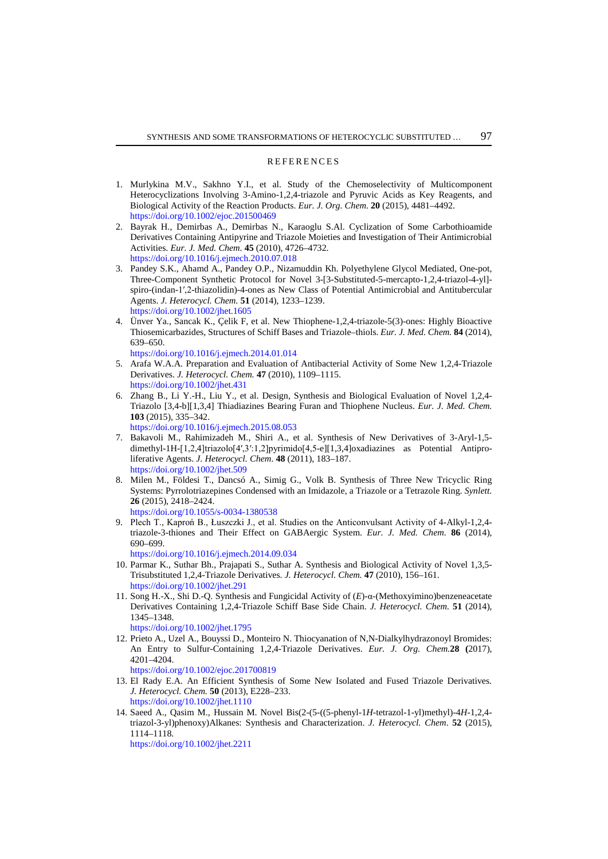#### REFERENCES

- 1. Murlykina M.V., Sakhno Y.I., et al. Study of the Chemoselectivity of Multicomponent Heterocyclizations Involving 3-Amino-1,2,4-triazole and Pyruvic Acids as Key Reagents, and Biological Activity of the Reaction Products. *Eur. J. Org. Chem*. **20** (2015), 4481–4492. <https://doi.org/10.1002/ejoc.201500469>
- 2. Bayrak H., Demirbas A., Demirbas N., Karaoglu S.Al. Cyclization of Some Carbothioamide Derivatives Containing Antipyrine and Triazole Moieties and Investigation of Their Antimicrobial Activities. *Eur. J. Med. Chem.* **45** (2010), 4726–4732. <https://doi.org/10.1016/j.ejmech.2010.07.018>
- 3. Pandey S.K., Ahamd A., Pandey O.P., Nizamuddin Kh. Polyethylene Glycol Mediated, One-pot, Three-Component Synthetic Protocol for Novel 3-[3-Substituted-5-mercapto-1,2,4-triazol-4-yl] spiro-(indan-1′,2-thiazolidin)-4-ones as New Class of Potential Antimicrobial and Antitubercular Agents. *J. Heterocycl. Chem.* **51** (2014), 1233–1239. <https://doi.org/10.1002/jhet.1605>
- 4. Ünver Ya., Sancak K., Çelik F, et al. New Thiophene-1,2,4-triazole-5(3)-ones: Highly Bioactive Thiosemicarbazides, Structures of Schiff Bases and Triazole–thiols. *Eur. J. Med. Chem.* **84** (2014), 639–650.

<https://doi.org/10.1016/j.ejmech.2014.01.014>

- 5. Arafa W.A.A. Preparation and Evaluation of Antibacterial Activity of Some New 1,2,4-Triazole Derivatives. *J. Heterocycl. Chem.* **47** (2010), 1109–1115. <https://doi.org/10.1002/jhet.431>
- 6. Zhang B., Li Y.-H., Liu Y., et al. Design, Synthesis and Biological Evaluation of Novel 1,2,4- Triazolo [3,4-b][1,3,4] Thiadiazines Bearing Furan and Thiophene Nucleus. *Eur. J. Med. Chem.* **103** (2015), 335–342.

<https://doi.org/10.1016/j.ejmech.2015.08.053>

- 7. Bakavoli M., Rahimizadeh M., Shiri A., et al. Synthesis of New Derivatives of 3-Aryl-1,5 dimethyl-1H-[1,2,4]triazolo[4′,3′:1,2]pyrimido[4,5-e][1,3,4]oxadiazines as Potential Antiproliferative Agents. *J. Heterocycl. Chem*. **48** (2011), 183–187. <https://doi.org/10.1002/jhet.509>
- 8. Milen M., Földesi T., Dancsó A., Simig G., Volk B. Synthesis of Three New Tricyclic Ring Systems: Pyrrolotriazepines Condensed with an Imidazole, a Triazole or a Tetrazole Ring. *Synlett.*  **26** (2015), 2418–2424. <https://doi.org/10.1055/s-0034-1380538>
- 9. Plech T., Kaproń B., Łuszczki J., et al. Studies on the Anticonvulsant Activity of 4-Alkyl-1,2,4 triazole-3-thiones and Their Effect on GABAergic System. *Eur. J. Med. Chem*. **86** (2014), 690–699.

<https://doi.org/10.1016/j.ejmech.2014.09.034>

- 10. Parmar K., Suthar Bh., Prajapati S., Suthar A. Synthesis and Biological Activity of Novel 1,3,5- Trisubstituted 1,2,4-Triazole Derivatives. *J. Heterocycl. Chem.* **47** (2010), 156–161. <https://doi.org/10.1002/jhet.291>
- 11. Song H.-X., Shi D.-Q. Synthesis and Fungicidal Activity of (*E*)-α-(Methoxyimino)benzeneacetate Derivatives Containing 1,2,4-Triazole Schiff Base Side Chain. *J. Heterocycl. Chem.* **51** (2014)*,*  1345–1348.

<https://doi.org/10.1002/jhet.1795>

12. Prieto A., Uzel A., Bouyssi D., Monteiro N. Thiocyanation of N,N-Dialkylhydrazonoyl Bromides: An Entry to Sulfur-Containing 1,2,4-Triazole Derivatives. *Eur. J. Org. Chem.***28 (**2017), 4201–4204.

<https://doi.org/10.1002/ejoc.201700819>

- 13. El Rady E.A. An Efficient Synthesis of Some New Isolated and Fused Triazole Derivatives. *J. Heterocycl. Chem.* **50** (2013), E228–233. <https://doi.org/10.1002/jhet.1110>
- 14. Saeed A., Qasim M., Hussain M. Novel Bis(2-(5-((5-phenyl-1*H*-tetrazol-1-yl)methyl)-4*H*-1,2,4 triazol-3-yl)phenoxy)Alkanes: Synthesis and Characterization. *J. Heterocycl. Chem*. **52** (2015), 1114–1118.

<https://doi.org/10.1002/jhet.2211>